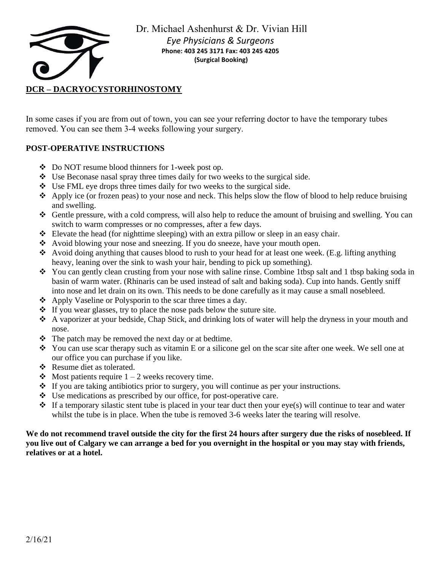

Dr. Michael Ashenhurst & Dr. Vivian Hill *Eye Physicians & Surgeons* **Phone: 403 245 3171 Fax: 403 245 4205 (Surgical Booking)**

In some cases if you are from out of town, you can see your referring doctor to have the temporary tubes removed. You can see them 3-4 weeks following your surgery.

# **POST-OPERATIVE INSTRUCTIONS**

- ❖ Do NOT resume blood thinners for 1-week post op.
- ❖ Use Beconase nasal spray three times daily for two weeks to the surgical side.
- ❖ Use FML eye drops three times daily for two weeks to the surgical side.
- ❖ Apply ice (or frozen peas) to your nose and neck. This helps slow the flow of blood to help reduce bruising and swelling.
- ❖ Gentle pressure, with a cold compress, will also help to reduce the amount of bruising and swelling. You can switch to warm compresses or no compresses, after a few days.
- ❖ Elevate the head (for nighttime sleeping) with an extra pillow or sleep in an easy chair.
- ❖ Avoid blowing your nose and sneezing. If you do sneeze, have your mouth open.
- ❖ Avoid doing anything that causes blood to rush to your head for at least one week. (E.g. lifting anything heavy, leaning over the sink to wash your hair, bending to pick up something).
- ❖ You can gently clean crusting from your nose with saline rinse. Combine 1tbsp salt and 1 tbsp baking soda in basin of warm water. (Rhinaris can be used instead of salt and baking soda). Cup into hands. Gently sniff into nose and let drain on its own. This needs to be done carefully as it may cause a small nosebleed.
- ❖ Apply Vaseline or Polysporin to the scar three times a day.
- ❖ If you wear glasses, try to place the nose pads below the suture site.
- ❖ A vaporizer at your bedside, Chap Stick, and drinking lots of water will help the dryness in your mouth and nose.
- ❖ The patch may be removed the next day or at bedtime.
- ❖ You can use scar therapy such as vitamin E or a silicone gel on the scar site after one week. We sell one at our office you can purchase if you like.
- ❖ Resume diet as tolerated.
- $\triangle$  Most patients require 1 2 weeks recovery time.
- ❖ If you are taking antibiotics prior to surgery, you will continue as per your instructions.
- ❖ Use medications as prescribed by our office, for post-operative care.
- $\bullet$  If a temporary silastic stent tube is placed in your tear duct then your eye(s) will continue to tear and water whilst the tube is in place. When the tube is removed 3-6 weeks later the tearing will resolve.

### **We do not recommend travel outside the city for the first 24 hours after surgery due the risks of nosebleed. If you live out of Calgary we can arrange a bed for you overnight in the hospital or you may stay with friends, relatives or at a hotel.**